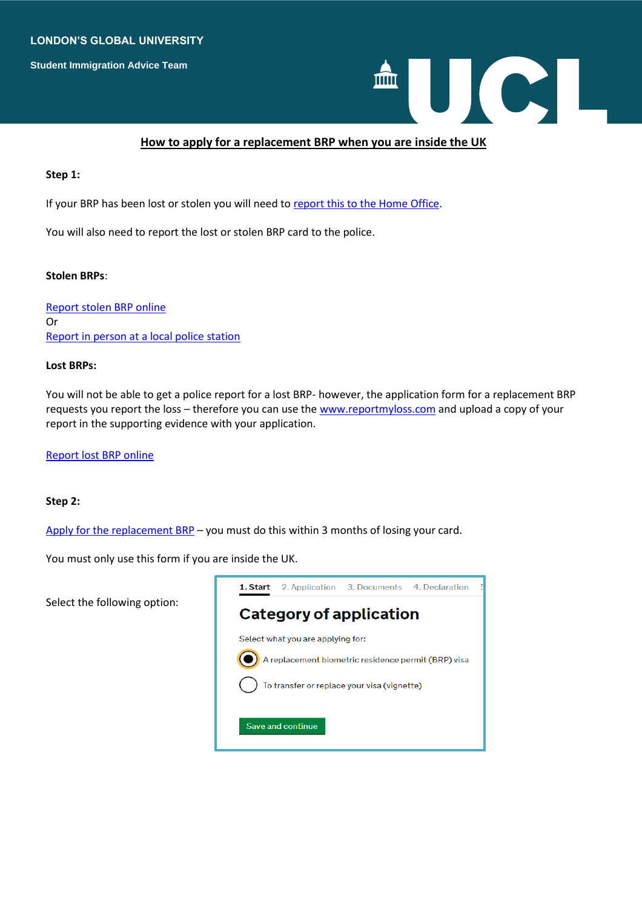### **LONDON'S GLOBAL UNIVERSITY**

**Student Immigration Advice Team**



## **How to apply for a replacement BRP when you are inside the UK**

#### **Step 1:**

If your BRP has been lost or stolen you will need to [report this to the Home Office.](https://www.biometric-residence-permit.service.gov.uk/lost-stolen/where)

You will also need to report the lost or stolen BRP card to the police.

#### **Stolen BRPs**:

[Report stolen BRP online](https://www.met.police.uk/ro/report/ocr/af/how-to-report-a-crime/) Or [Report in person at a local police station](https://www.met.police.uk/contact/find-a-police-station/)

#### **Lost BRPs:**

You will not be able to get a police report for a lost BRP- however, the application form for a replacement BRP requests you report the loss – therefore you can use the [www.reportmyloss.com](http://www.reportmyloss.com/) and upload a copy of your report in the supporting evidence with your application.

[Report lost BRP online](https://www.reportmyloss.com/uk/register)

#### **Step 2:**

[Apply for the replacement BRP](https://visas-immigration.service.gov.uk/product/biometric-residence-permit-replacement-service?_ga=2.12158708.1389995173.1646131644-1122886267.1643799981) – you must do this within 3 months of losing your card.

You must only use this form if you are inside the UK.

Select the following option:

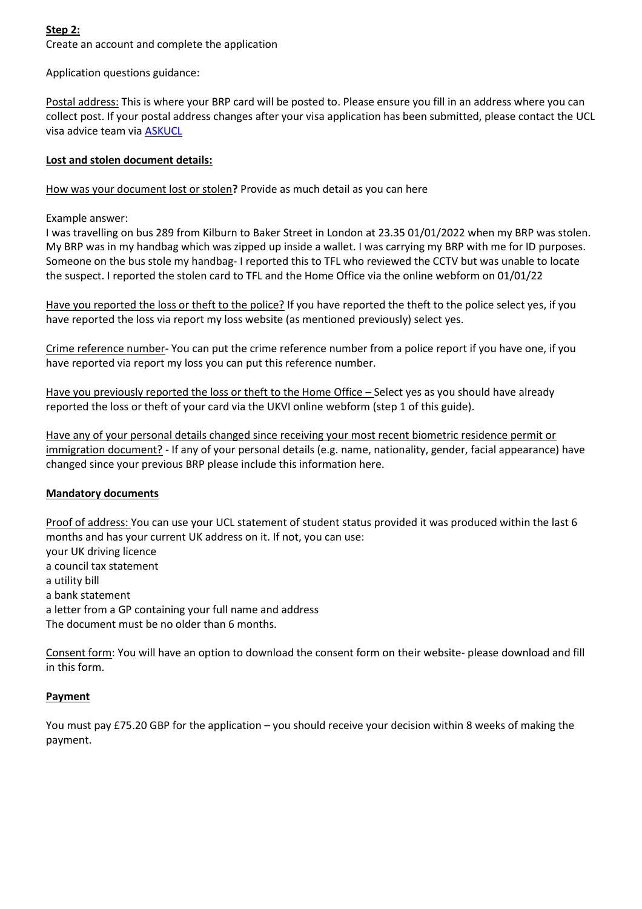# **Step 2:**

Create an account and complete the application

Application questions guidance:

Postal address: This is where your BRP card will be posted to. Please ensure you fill in an address where you can collect post. If your postal address changes after your visa application has been submitted, please contact the UCL visa advice team via **ASKUCL** 

# **Lost and stolen document details:**

How was your document lost or stolen**?** Provide as much detail as you can here

Example answer:

I was travelling on bus 289 from Kilburn to Baker Street in London at 23.35 01/01/2022 when my BRP was stolen. My BRP was in my handbag which was zipped up inside a wallet. I was carrying my BRP with me for ID purposes. Someone on the bus stole my handbag- I reported this to TFL who reviewed the CCTV but was unable to locate the suspect. I reported the stolen card to TFL and the Home Office via the online webform on 01/01/22

Have you reported the loss or theft to the police? If you have reported the theft to the police select yes, if you have reported the loss via report my loss website (as mentioned previously) select yes.

Crime reference number- You can put the crime reference number from a police report if you have one, if you have reported via report my loss you can put this reference number.

Have you previously reported the loss or theft to the Home Office – Select yes as you should have already reported the loss or theft of your card via the UKVI online webform (step 1 of this guide).

Have any of your personal details changed since receiving your most recent biometric residence permit or immigration document? - If any of your personal details (e.g. name, nationality, gender, facial appearance) have changed since your previous BRP please include this information here.

# **Mandatory documents**

Proof of address: You can use your UCL statement of student status provided it was produced within the last 6 months and has your current UK address on it. If not, you can use: your UK driving licence a council tax statement a utility bill a bank statement a letter from a GP containing your full name and address The document must be no older than 6 months.

Consent form: You will have an option to download the consent form on their website- please download and fill in this form.

# **Payment**

You must pay £75.20 GBP for the application – you should receive your decision within 8 weeks of making the payment.